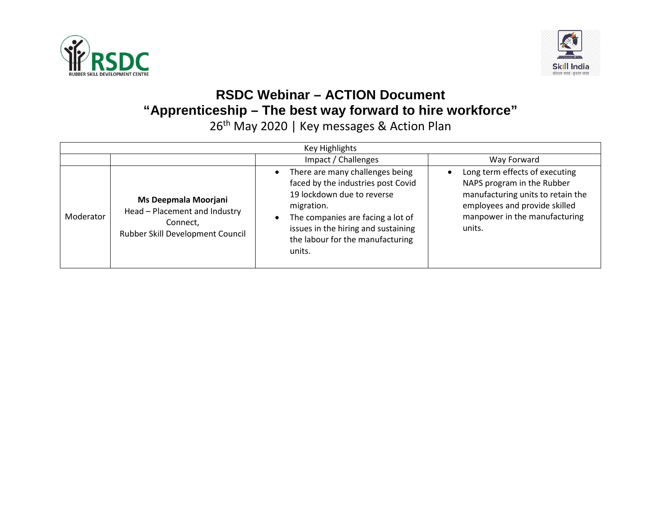



## **RSDC Webinar – ACTION Document "Apprenticeship – The best way forward to hire workforce"**

26<sup>th</sup> May 2020 | Key messages & Action Plan

| <b>Key Highlights</b> |                                                                                                       |                                                                                                                                                                                                                                             |                                                                                                                                                                               |
|-----------------------|-------------------------------------------------------------------------------------------------------|---------------------------------------------------------------------------------------------------------------------------------------------------------------------------------------------------------------------------------------------|-------------------------------------------------------------------------------------------------------------------------------------------------------------------------------|
|                       |                                                                                                       | Impact / Challenges                                                                                                                                                                                                                         | Way Forward                                                                                                                                                                   |
| Moderator             | Ms Deepmala Moorjani<br>Head - Placement and Industry<br>Connect.<br>Rubber Skill Development Council | There are many challenges being<br>faced by the industries post Covid<br>19 lockdown due to reverse<br>migration.<br>The companies are facing a lot of<br>issues in the hiring and sustaining<br>the labour for the manufacturing<br>units. | Long term effects of executing<br>NAPS program in the Rubber<br>manufacturing units to retain the<br>employees and provide skilled<br>manpower in the manufacturing<br>units. |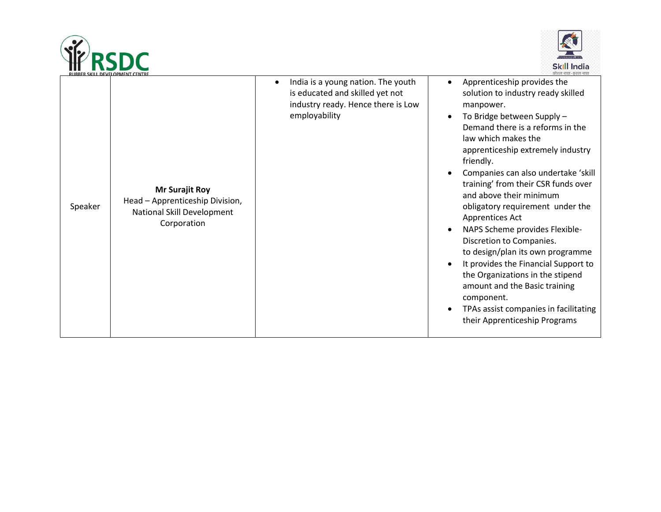



| RUBBER SKILL DEVELOPMENT CENTRE |                                                                                                       |                                                                                                                              | काशल भारत-कशल भारत                                                                                                                                                                                                                                                                                                                                                                                                                                                                                                                                                                                                                                                                               |
|---------------------------------|-------------------------------------------------------------------------------------------------------|------------------------------------------------------------------------------------------------------------------------------|--------------------------------------------------------------------------------------------------------------------------------------------------------------------------------------------------------------------------------------------------------------------------------------------------------------------------------------------------------------------------------------------------------------------------------------------------------------------------------------------------------------------------------------------------------------------------------------------------------------------------------------------------------------------------------------------------|
| Speaker                         | <b>Mr Surajit Roy</b><br>Head - Apprenticeship Division,<br>National Skill Development<br>Corporation | India is a young nation. The youth<br>is educated and skilled yet not<br>industry ready. Hence there is Low<br>employability | Apprenticeship provides the<br>solution to industry ready skilled<br>manpower.<br>To Bridge between Supply -<br>Demand there is a reforms in the<br>law which makes the<br>apprenticeship extremely industry<br>friendly.<br>Companies can also undertake 'skill<br>training' from their CSR funds over<br>and above their minimum<br>obligatory requirement under the<br>Apprentices Act<br>NAPS Scheme provides Flexible-<br>Discretion to Companies.<br>to design/plan its own programme<br>It provides the Financial Support to<br>the Organizations in the stipend<br>amount and the Basic training<br>component.<br>TPAs assist companies in facilitating<br>their Apprenticeship Programs |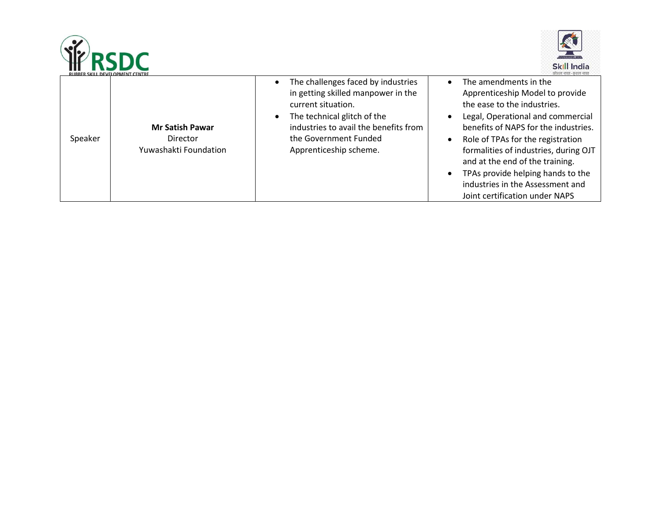



| <b>RUBBER SKILL DEVELOPMENT CENTRE</b> |                                                             |                                                                                                                                                                                                                           | काशल भारत-कशल भारत                                                                                                                                                                                                                                                                                                                                                                               |
|----------------------------------------|-------------------------------------------------------------|---------------------------------------------------------------------------------------------------------------------------------------------------------------------------------------------------------------------------|--------------------------------------------------------------------------------------------------------------------------------------------------------------------------------------------------------------------------------------------------------------------------------------------------------------------------------------------------------------------------------------------------|
| Speaker                                | <b>Mr Satish Pawar</b><br>Director<br>Yuwashakti Foundation | The challenges faced by industries<br>in getting skilled manpower in the<br>current situation.<br>The technical glitch of the<br>industries to avail the benefits from<br>the Government Funded<br>Apprenticeship scheme. | The amendments in the<br>Apprenticeship Model to provide<br>the ease to the industries.<br>Legal, Operational and commercial<br>benefits of NAPS for the industries.<br>Role of TPAs for the registration<br>formalities of industries, during OJT<br>and at the end of the training.<br>TPAs provide helping hands to the<br>industries in the Assessment and<br>Joint certification under NAPS |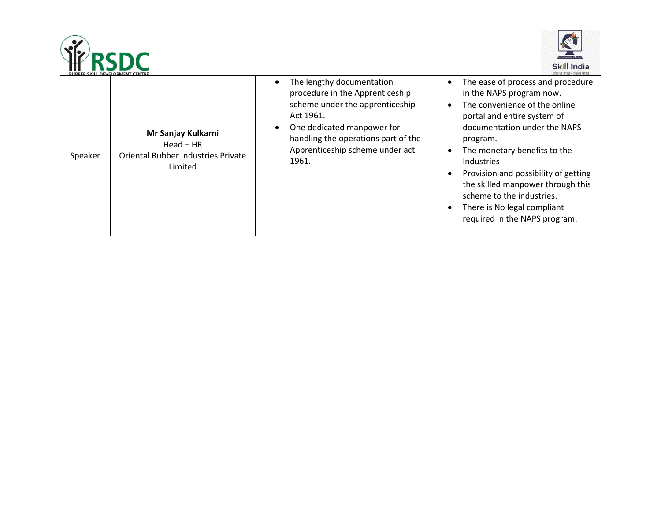



|         | RUBBER SKILL DEVELOPMENT CENTRE                                                           |                                                                                                                                                                                                                               |                                                                                                                                                                                                                                                                                                                                                                                                                                               |
|---------|-------------------------------------------------------------------------------------------|-------------------------------------------------------------------------------------------------------------------------------------------------------------------------------------------------------------------------------|-----------------------------------------------------------------------------------------------------------------------------------------------------------------------------------------------------------------------------------------------------------------------------------------------------------------------------------------------------------------------------------------------------------------------------------------------|
| Speaker | Mr Sanjay Kulkarni<br>$Head - HR$<br><b>Oriental Rubber Industries Private</b><br>Limited | The lengthy documentation<br>procedure in the Apprenticeship<br>scheme under the apprenticeship<br>Act 1961.<br>One dedicated manpower for<br>handling the operations part of the<br>Apprenticeship scheme under act<br>1961. | The ease of process and procedure<br>$\bullet$<br>in the NAPS program now.<br>The convenience of the online<br>$\bullet$<br>portal and entire system of<br>documentation under the NAPS<br>program.<br>The monetary benefits to the<br>$\bullet$<br>Industries<br>Provision and possibility of getting<br>the skilled manpower through this<br>scheme to the industries.<br>There is No legal compliant<br>٠<br>required in the NAPS program. |